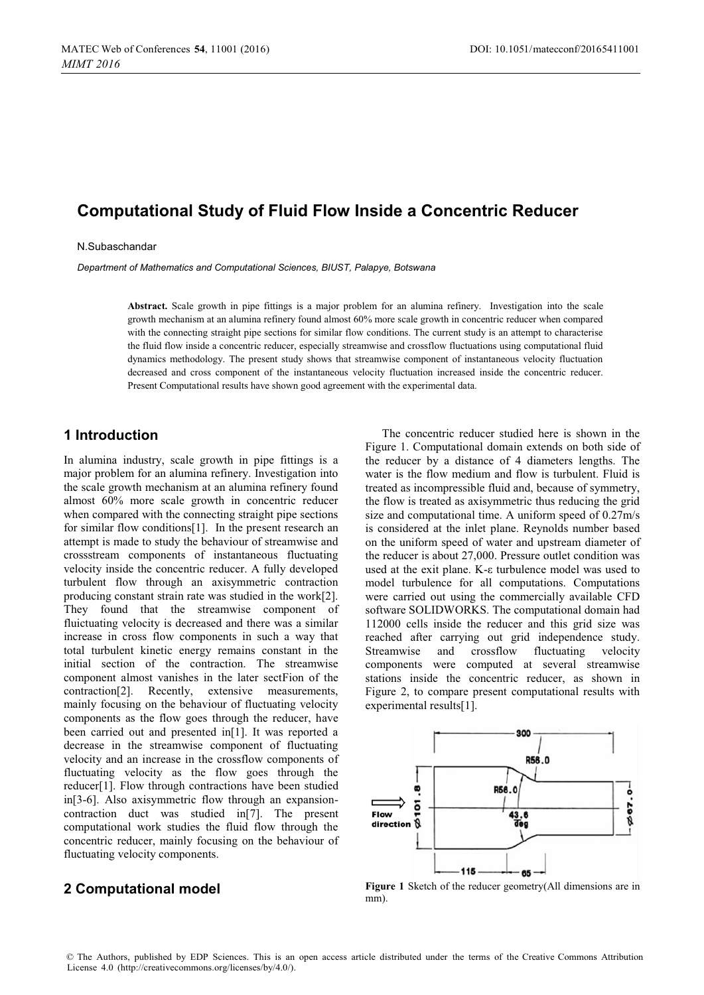# **Computational Study of Fluid Flow Inside a Concentric Reducer**

N.Subaschandar

*Department of Mathematics and Computational Sciences, BIUST, Palapye, Botswana* 

**Abstract.** Scale growth in pipe fittings is a major problem for an alumina refinery. Investigation into the scale growth mechanism at an alumina refinery found almost 60% more scale growth in concentric reducer when compared with the connecting straight pipe sections for similar flow conditions. The current study is an attempt to characterise the fluid flow inside a concentric reducer, especially streamwise and crossflow fluctuations using computational fluid dynamics methodology. The present study shows that streamwise component of instantaneous velocity fluctuation decreased and cross component of the instantaneous velocity fluctuation increased inside the concentric reducer. Present Computational results have shown good agreement with the experimental data.

## **1 Introduction**

In alumina industry, scale growth in pipe fittings is a major problem for an alumina refinery. Investigation into the scale growth mechanism at an alumina refinery found almost 60% more scale growth in concentric reducer when compared with the connecting straight pipe sections for similar flow conditions[1]. In the present research an attempt is made to study the behaviour of streamwise and crossstream components of instantaneous fluctuating velocity inside the concentric reducer. A fully developed turbulent flow through an axisymmetric contraction producing constant strain rate was studied in the work[2]. They found that the streamwise component of fluictuating velocity is decreased and there was a similar increase in cross flow components in such a way that total turbulent kinetic energy remains constant in the initial section of the contraction. The streamwise component almost vanishes in the later sectFion of the contraction[2]. Recently, extensive measurements, mainly focusing on the behaviour of fluctuating velocity components as the flow goes through the reducer, have been carried out and presented in[1]. It was reported a decrease in the streamwise component of fluctuating velocity and an increase in the crossflow components of fluctuating velocity as the flow goes through the reducer[1]. Flow through contractions have been studied in[3-6]. Also axisymmetric flow through an expansioncontraction duct was studied in[7]. The present computational work studies the fluid flow through the concentric reducer, mainly focusing on the behaviour of fluctuating velocity components.

# **2 Computational model**

The concentric reducer studied here is shown in the Figure 1. Computational domain extends on both side of the reducer by a distance of 4 diameters lengths. The water is the flow medium and flow is turbulent. Fluid is treated as incompressible fluid and, because of symmetry, the flow is treated as axisymmetric thus reducing the grid size and computational time. A uniform speed of 0.27m/s is considered at the inlet plane. Reynolds number based on the uniform speed of water and upstream diameter of the reducer is about 27,000. Pressure outlet condition was used at the exit plane. K-ε turbulence model was used to model turbulence for all computations. Computations were carried out using the commercially available CFD software SOLIDWORKS. The computational domain had 112000 cells inside the reducer and this grid size was reached after carrying out grid independence study. Streamwise and crossflow fluctuating velocity components were computed at several streamwise stations inside the concentric reducer, as shown in Figure 2, to compare present computational results with experimental results[1].



**Figure 1** Sketch of the reducer geometry(All dimensions are in mm).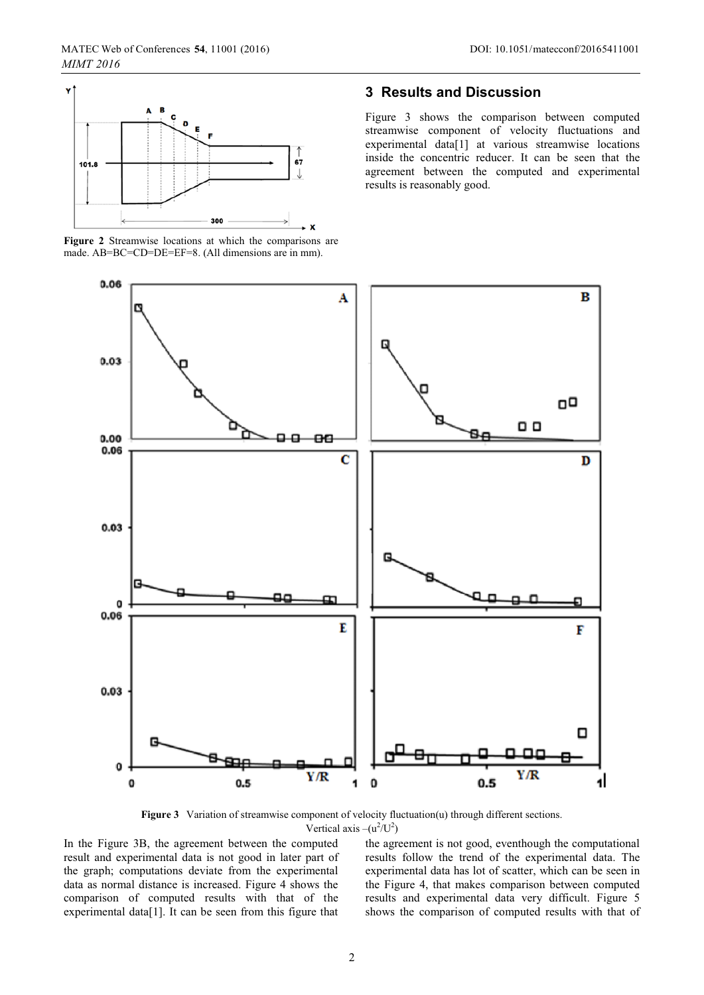

**Figure 2** Streamwise locations at which the comparisons are made. AB=BC=CD=DE=EF=8. (All dimensions are in mm).

### **3 Results and Discussion**

Figure 3 shows the comparison between computed streamwise component of velocity fluctuations and experimental data[1] at various streamwise locations inside the concentric reducer. It can be seen that the agreement between the computed and experimental results is reasonably good.



**Figure 3** Variation of streamwise component of velocity fluctuation(u) through different sections. Vertical axis  $-(u^2/U^2)$ 

In the Figure 3B, the agreement between the computed result and experimental data is not good in later part of the graph; computations deviate from the experimental data as normal distance is increased. Figure 4 shows the comparison of computed results with that of the experimental data[1]. It can be seen from this figure that

the agreement is not good, eventhough the computational results follow the trend of the experimental data. The experimental data has lot of scatter, which can be seen in the Figure 4, that makes comparison between computed results and experimental data very difficult. Figure 5 shows the comparison of computed results with that of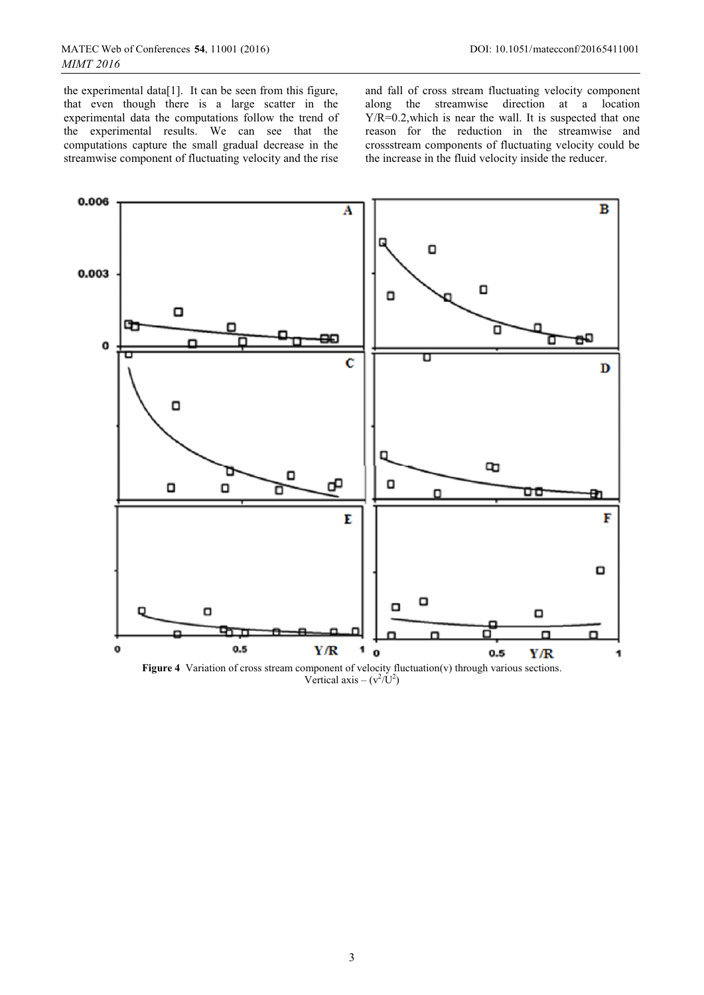the experimental data[1]. It can be seen from this figure, that even though there is a large scatter in the experimental data the computations follow the trend of the experimental results. We can see that the computations capture the small gradual decrease in the streamwise component of fluctuating velocity and the rise and fall of cross stream fluctuating velocity component along the streamwise direction at a location Y/R=0.2,which is near the wall. It is suspected that one reason for the reduction in the streamwise and crossstream components of fluctuating velocity could be the increase in the fluid velocity inside the reducer.



Figure 4 Variation of cross stream component of velocity fluctuation(v) through various sections. Vertical axis –  $(v^2/U^2)$